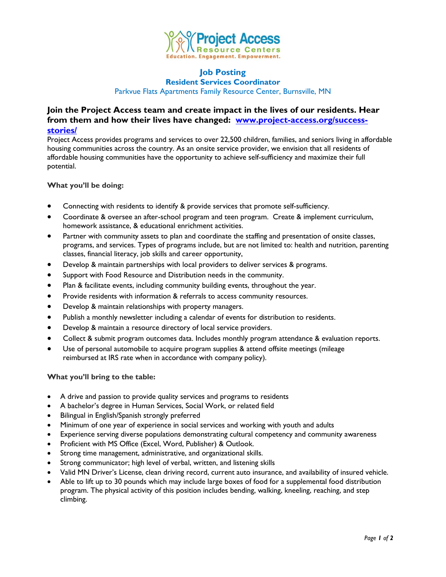

#### **Job Posting Resident Services Coordinator**

Parkvue Flats Apartments Family Resource Center, Burnsville, MN

# **Join the Project Access team and create impact in the lives of our residents. Hear from them and how their lives have changed: [www.project-access.org/success](http://www.project-access.org/success-stories/)[stories/](http://www.project-access.org/success-stories/)**

Project Access provides programs and services to over 22,500 children, families, and seniors living in affordable housing communities across the country. As an onsite service provider, we envision that all residents of affordable housing communities have the opportunity to achieve self-sufficiency and maximize their full potential.

## **What you'll be doing:**

- Connecting with residents to identify & provide services that promote self-sufficiency.
- Coordinate & oversee an after-school program and teen program. Create & implement curriculum, homework assistance, & educational enrichment activities.
- Partner with community assets to plan and coordinate the staffing and presentation of onsite classes, programs, and services. Types of programs include, but are not limited to: health and nutrition, parenting classes, financial literacy, job skills and career opportunity,
- Develop & maintain partnerships with local providers to deliver services & programs.
- Support with Food Resource and Distribution needs in the community.
- Plan & facilitate events, including community building events, throughout the year.
- Provide residents with information & referrals to access community resources.
- Develop & maintain relationships with property managers.
- Publish a monthly newsletter including a calendar of events for distribution to residents.
- Develop & maintain a resource directory of local service providers.
- Collect & submit program outcomes data. Includes monthly program attendance & evaluation reports.
- Use of personal automobile to acquire program supplies & attend offsite meetings (mileage reimbursed at IRS rate when in accordance with company policy).

## **What you'll bring to the table:**

- A drive and passion to provide quality services and programs to residents
- A bachelor's degree in Human Services, Social Work, or related field
- Bilingual in English/Spanish strongly preferred
- Minimum of one year of experience in social services and working with youth and adults
- Experience serving diverse populations demonstrating cultural competency and community awareness
- Proficient with MS Office (Excel, Word, Publisher) & Outlook.
- Strong time management, administrative, and organizational skills.
- Strong communicator; high level of verbal, written, and listening skills
- Valid MN Driver's License, clean driving record, current auto insurance, and availability of insured vehicle.
- Able to lift up to 30 pounds which may include large boxes of food for a supplemental food distribution program. The physical activity of this position includes bending, walking, kneeling, reaching, and step climbing.